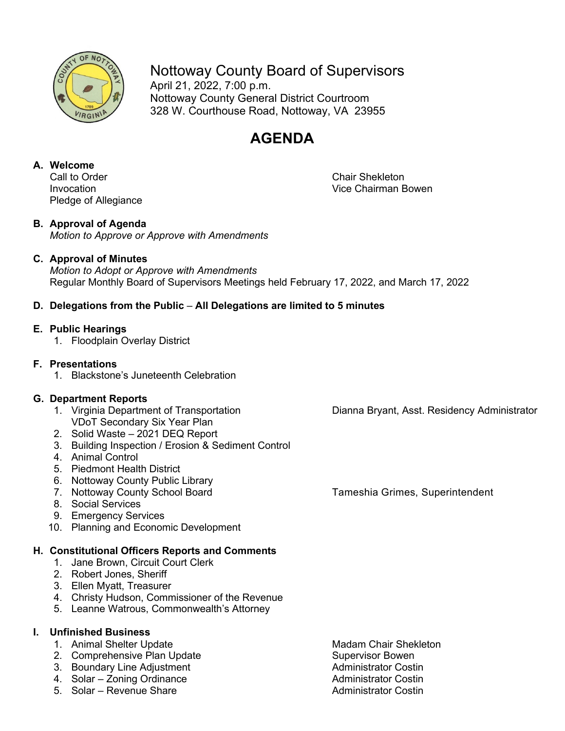

Nottoway County Board of Supervisors

April 21, 2022, 7:00 p.m. Nottoway County General District Courtroom 328 W. Courthouse Road, Nottoway, VA 23955

## **AGENDA**

# **A. Welcome**

Pledge of Allegiance

Chair Shekleton Invocation Vice Chairman Bowen

### **B. Approval of Agenda**

*Motion to Approve or Approve with Amendments*

#### **C. Approval of Minutes**

*Motion to Adopt or Approve with Amendments* Regular Monthly Board of Supervisors Meetings held February 17, 2022, and March 17, 2022

#### **D. Delegations from the Public** – **All Delegations are limited to 5 minutes**

#### **E. Public Hearings**

1. Floodplain Overlay District

### **F. Presentations**

1. Blackstone's Juneteenth Celebration

- **G. Department Reports** VDoT Secondary Six Year Plan
	- 2. Solid Waste 2021 DEQ Report
	- 3. Building Inspection / Erosion & Sediment Control
	- 4. Animal Control
	- 5. Piedmont Health District
	- 6. Nottoway County Public Library
	- 7. Nottoway County School Board Tameshia Grimes, Superintendent
	- 8. Social Services
	- 9. Emergency Services
	- 10. Planning and Economic Development

#### **H. Constitutional Officers Reports and Comments**

- 1. Jane Brown, Circuit Court Clerk
- 2. Robert Jones, Sheriff
- 3. Ellen Myatt, Treasurer
- 4. Christy Hudson, Commissioner of the Revenue
- 5. Leanne Watrous, Commonwealth's Attorney

#### **I. Unfinished Business**

- 1. Animal Shelter Update Machines Madam Chair Shekleton
- 2. Comprehensive Plan Update Supervisor Bowen
- 3. Boundary Line Adjustment **Administrator Costin**
- 4. Solar Zoning Ordinance **Administrator Costin**
- 5. Solar Revenue Share **Administrator Costin**
- 

Dianna Bryant, Asst. Residency Administrator